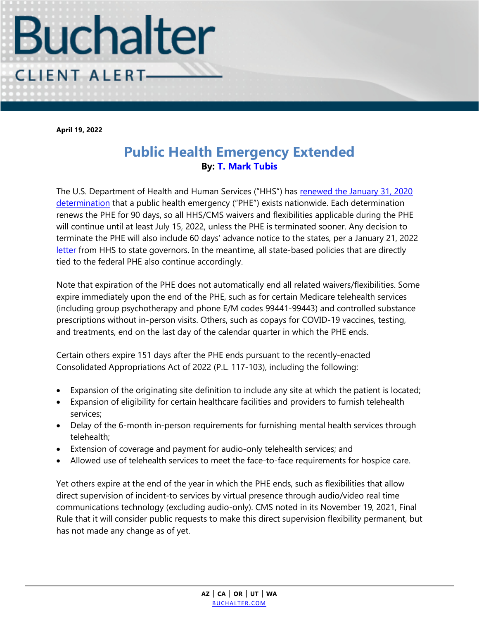

**April 19, 2022**

## **Public Health Emergency Extended By: [T. Mark Tubis](https://www.buchalter.com/attorneys/t-mark-tubis/#bio)**

The U.S. Department of Health and Human Services ("HHS") has [renewed the January 31, 2020](https://aspr.hhs.gov/legal/PHE/Pages/COVID19-12Apr2022.aspx)  [determination](https://aspr.hhs.gov/legal/PHE/Pages/COVID19-12Apr2022.aspx) that a public health emergency ("PHE") exists nationwide. Each determination renews the PHE for 90 days, so all HHS/CMS waivers and flexibilities applicable during the PHE will continue until at least July 15, 2022, unless the PHE is terminated sooner. Any decision to terminate the PHE will also include 60 days' advance notice to the states, per a January 21, 2022 [letter](https://aspr.hhs.gov/legal/PHE/Pages/Letter-to-Governors-on-the-COVID-19-Response.aspx) from HHS to state governors. In the meantime, all state-based policies that are directly tied to the federal PHE also continue accordingly.

Note that expiration of the PHE does not automatically end all related waivers/flexibilities. Some expire immediately upon the end of the PHE, such as for certain Medicare telehealth services (including group psychotherapy and phone E/M codes 99441-99443) and controlled substance prescriptions without in-person visits. Others, such as copays for COVID-19 vaccines, testing, and treatments, end on the last day of the calendar quarter in which the PHE ends.

Certain others expire 151 days after the PHE ends pursuant to the recently-enacted Consolidated Appropriations Act of 2022 (P.L. 117-103), including the following:

- Expansion of the originating site definition to include any site at which the patient is located;
- Expansion of eligibility for certain healthcare facilities and providers to furnish telehealth services;
- Delay of the 6-month in-person requirements for furnishing mental health services through telehealth;
- Extension of coverage and payment for audio-only telehealth services; and
- Allowed use of telehealth services to meet the face-to-face requirements for hospice care.

Yet others expire at the end of the year in which the PHE ends, such as flexibilities that allow direct supervision of incident-to services by virtual presence through audio/video real time communications technology (excluding audio-only). CMS noted in its November 19, 2021, Final Rule that it will consider public requests to make this direct supervision flexibility permanent, but has not made any change as of yet.